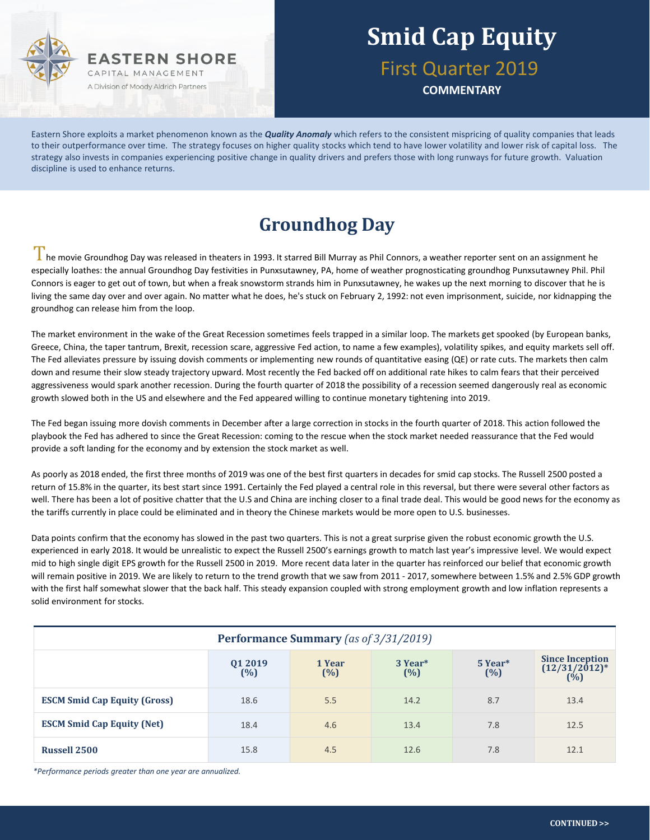

**COMMENTARY**

Eastern Shore exploits a market phenomenon known as the *Quality Anomaly* which refers to the consistent mispricing of quality companies that leads to their outperformance over time. The strategy focuses on higher quality stocks which tend to have lower volatility and lower risk of capital loss. The strategy also invests in companies experiencing positive change in quality drivers and prefers those with long runways for future growth. Valuation discipline is used to enhance returns.

#### **Groundhog Day**

In e movie Groundhog Day was released in theaters in 1993. It starred Bill Murray as Phil Connors, a weather reporter sent on an assignment he especially loathes: the annual Groundhog Day festivities in Punxsutawney, PA, home of weather prognosticating groundhog Punxsutawney Phil. Phil Connors is eager to get out of town, but when a freak snowstorm strands him in Punxsutawney, he wakes up the next morning to discover that he is living the same day over and over again. No matter what he does, he's stuck on February 2, 1992: not even imprisonment, suicide, nor kidnapping the groundhog can release him from the loop.

The market environment in the wake of the Great Recession sometimes feels trapped in a similar loop. The markets get spooked (by European banks, Greece, China, the taper tantrum, Brexit, recession scare, aggressive Fed action, to name a few examples), volatility spikes, and equity markets sell off. The Fed alleviates pressure by issuing dovish comments or implementing new rounds of quantitative easing (QE) or rate cuts. The markets then calm down and resume their slow steady trajectory upward. Most recently the Fed backed off on additional rate hikes to calm fears that their perceived aggressiveness would spark another recession. During the fourth quarter of 2018 the possibility of a recession seemed dangerously real as economic growth slowed both in the US and elsewhere and the Fed appeared willing to continue monetary tightening into 2019.

The Fed began issuing more dovish comments in December after a large correction in stocks in the fourth quarter of 2018. This action followed the playbook the Fed has adhered to since the Great Recession: coming to the rescue when the stock market needed reassurance that the Fed would provide a soft landing for the economy and by extension the stock market as well.

As poorly as 2018 ended, the first three months of 2019 was one of the best first quarters in decades for smid cap stocks. The Russell 2500 posted a return of 15.8% in the quarter, its best start since 1991. Certainly the Fed played a central role in this reversal, but there were several other factors as well. There has been a lot of positive chatter that the U.S and China are inching closer to a final trade deal. This would be good news for the economy as the tariffs currently in place could be eliminated and in theory the Chinese markets would be more open to U.S. businesses.

Data points confirm that the economy has slowed in the past two quarters. This is not a great surprise given the robust economic growth the U.S. experienced in early 2018. It would be unrealistic to expect the Russell 2500's earnings growth to match last year's impressive level. We would expect mid to high single digit EPS growth for the Russell 2500 in 2019. More recent data later in the quarter has reinforced our belief that economic growth will remain positive in 2019. We are likely to return to the trend growth that we saw from 2011 - 2017, somewhere between 1.5% and 2.5% GDP growth with the first half somewhat slower that the back half. This steady expansion coupled with strong employment growth and low inflation represents a solid environment for stocks.

| <b>Performance Summary</b> (as of 3/31/2019) |                   |               |                |                |                                                   |  |  |
|----------------------------------------------|-------------------|---------------|----------------|----------------|---------------------------------------------------|--|--|
|                                              | Q1 2019<br>$(\%)$ | 1 Year<br>(%) | 3 Year*<br>(%) | 5 Year*<br>(%) | <b>Since Inception</b><br>$(12/31/2012)^*$<br>(%) |  |  |
| <b>ESCM Smid Cap Equity (Gross)</b>          | 18.6              | 5.5           | 14.2           | 8.7            | 13.4                                              |  |  |
| <b>ESCM Smid Cap Equity (Net)</b>            | 18.4              | 4.6           | 13.4           | 7.8            | 12.5                                              |  |  |
| <b>Russell 2500</b>                          | 15.8              | 4.5           | 12.6           | 7.8            | 12.1                                              |  |  |

*\*Performance periods greater than one year are annualized.*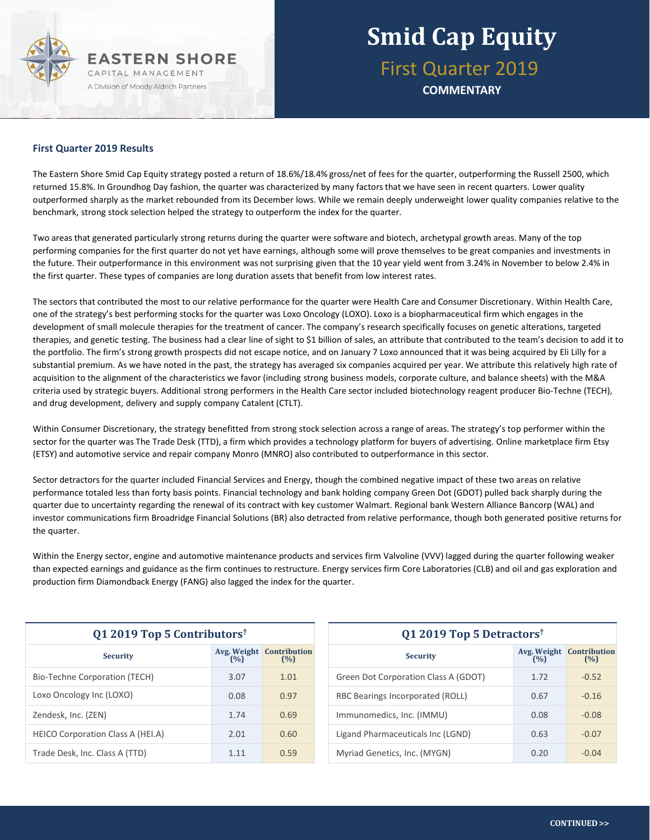

**COMMENTARY**

#### **First Quarter 2019 Results**

The Eastern Shore Smid Cap Equity strategy posted a return of 18.6%/18.4% gross/net of fees for the quarter, outperforming the Russell 2500, which returned 15.8%. In Groundhog Day fashion, the quarter was characterized by many factors that we have seen in recent quarters. Lower quality outperformed sharply as the market rebounded from its December lows. While we remain deeply underweight lower quality companies relative to the benchmark, strong stock selection helped the strategy to outperform the index for the quarter.

Two areas that generated particularly strong returns during the quarter were software and biotech, archetypal growth areas. Many of the top performing companies for the first quarter do not yet have earnings, although some will prove themselves to be great companies and investments in the future. Their outperformance in this environment was not surprising given that the 10 year yield went from 3.24% in November to below 2.4% in the first quarter. These types of companies are long duration assets that benefit from low interest rates.

The sectors that contributed the most to our relative performance for the quarter were Health Care and Consumer Discretionary. Within Health Care, one of the strategy's best performing stocks for the quarter was Loxo Oncology (LOXO). Loxo is a biopharmaceutical firm which engages in the development of small molecule therapies for the treatment of cancer. The company's research specifically focuses on genetic alterations, targeted therapies, and genetic testing. The business had a clear line of sight to \$1 billion of sales, an attribute that contributed to the team's decision to add it to the portfolio. The firm's strong growth prospects did not escape notice, and on January 7 Loxo announced that it was being acquired by Eli Lilly for a substantial premium. As we have noted in the past, the strategy has averaged six companies acquired per year. We attribute this relatively high rate of acquisition to the alignment of the characteristics we favor (including strong business models, corporate culture, and balance sheets) with the M&A criteria used by strategic buyers. Additional strong performers in the Health Care sector included biotechnology reagent producer Bio-Techne (TECH), and drug development, delivery and supply company Catalent (CTLT).

Within Consumer Discretionary, the strategy benefitted from strong stock selection across a range of areas. The strategy's top performer within the sector for the quarter was The Trade Desk (TTD), a firm which provides a technology platform for buyers of advertising. Online marketplace firm Etsy (ETSY) and automotive service and repair company Monro (MNRO) also contributed to outperformance in this sector.

Sector detractors for the quarter included Financial Services and Energy, though the combined negative impact of these two areas on relative performance totaled less than forty basis points. Financial technology and bank holding company Green Dot (GDOT) pulled back sharply during the quarter due to uncertainty regarding the renewal of its contract with key customer Walmart. Regional bank Western Alliance Bancorp (WAL) and investor communications firm Broadridge Financial Solutions (BR) also detracted from relative performance, though both generated positive returns for the quarter.

Within the Energy sector, engine and automotive maintenance products and services firm Valvoline (VVV) lagged during the quarter following weaker than expected earnings and guidance as the firm continues to restructure. Energy services firm Core Laboratories (CLB) and oil and gas exploration and production firm Diamondback Energy (FANG) also lagged the index for the quarter.

| Q1 2019 Top 5 Contributors <sup>†</sup>  |       |                                        |  |  |  |
|------------------------------------------|-------|----------------------------------------|--|--|--|
| <b>Security</b>                          | (%)   | <b>Avg. Weight Contribution</b><br>(%) |  |  |  |
| <b>Bio-Techne Corporation (TECH)</b>     | 3.07  | 1.01                                   |  |  |  |
| Loxo Oncology Inc (LOXO)                 | 0.08  | 0.97                                   |  |  |  |
| Zendesk, Inc. (ZEN)                      | 1.74  | 0.69                                   |  |  |  |
| <b>HEICO Corporation Class A (HEI.A)</b> | 2.01  | 0.60                                   |  |  |  |
| Trade Desk, Inc. Class A (TTD)           | 1 1 1 | 0.59                                   |  |  |  |

| Q1 2019 Top 5 Detractors <sup>†</sup> |      |                                 |  |  |  |
|---------------------------------------|------|---------------------------------|--|--|--|
| <b>Security</b>                       | (%)  | Avg. Weight Contribution<br>(%) |  |  |  |
| Green Dot Corporation Class A (GDOT)  | 1.72 | $-0.52$                         |  |  |  |
| RBC Bearings Incorporated (ROLL)      | 0.67 | $-0.16$                         |  |  |  |
| Immunomedics, Inc. (IMMU)             | 0.08 | $-0.08$                         |  |  |  |
| Ligand Pharmaceuticals Inc (LGND)     | 0.63 | $-0.07$                         |  |  |  |
| Myriad Genetics, Inc. (MYGN)          | 0.20 | $-0.04$                         |  |  |  |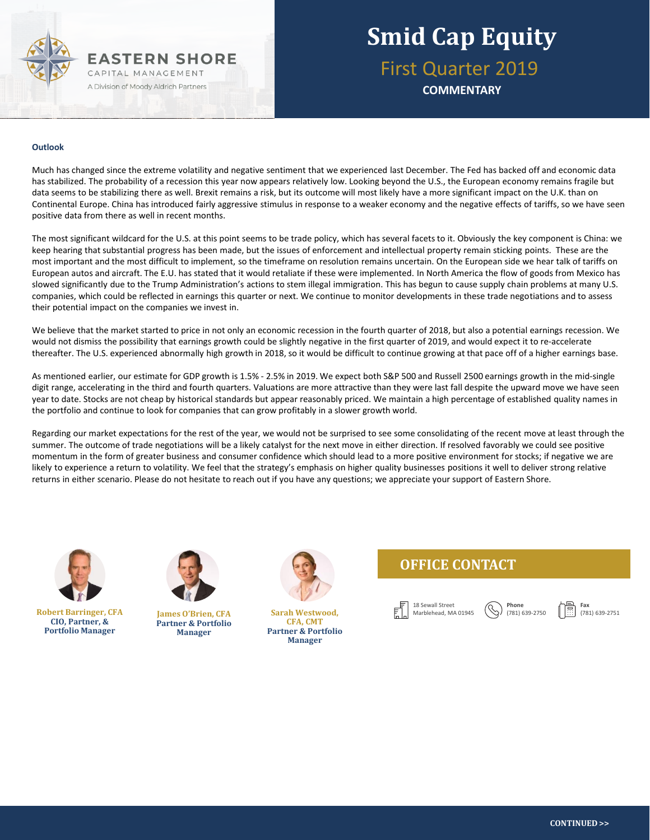

**COMMENTARY**

#### **Outlook**

Much has changed since the extreme volatility and negative sentiment that we experienced last December. The Fed has backed off and economic data has stabilized. The probability of a recession this year now appears relatively low. Looking beyond the U.S., the European economy remains fragile but data seems to be stabilizing there as well. Brexit remains a risk, but its outcome will most likely have a more significant impact on the U.K. than on Continental Europe. China has introduced fairly aggressive stimulus in response to a weaker economy and the negative effects of tariffs, so we have seen positive data from there as well in recent months.

The most significant wildcard for the U.S. at this point seems to be trade policy, which has several facets to it. Obviously the key component is China: we keep hearing that substantial progress has been made, but the issues of enforcement and intellectual property remain sticking points. These are the most important and the most difficult to implement, so the timeframe on resolution remains uncertain. On the European side we hear talk of tariffs on European autos and aircraft. The E.U. has stated that it would retaliate if these were implemented. In North America the flow of goods from Mexico has slowed significantly due to the Trump Administration's actions to stem illegal immigration. This has begun to cause supply chain problems at many U.S. companies, which could be reflected in earnings this quarter or next. We continue to monitor developments in these trade negotiations and to assess their potential impact on the companies we invest in.

We believe that the market started to price in not only an economic recession in the fourth quarter of 2018, but also a potential earnings recession. We would not dismiss the possibility that earnings growth could be slightly negative in the first quarter of 2019, and would expect it to re-accelerate thereafter. The U.S. experienced abnormally high growth in 2018, so it would be difficult to continue growing at that pace off of a higher earnings base.

As mentioned earlier, our estimate for GDP growth is 1.5% - 2.5% in 2019. We expect both S&P 500 and Russell 2500 earnings growth in the mid-single digit range, accelerating in the third and fourth quarters. Valuations are more attractive than they were last fall despite the upward move we have seen year to date. Stocks are not cheap by historical standards but appear reasonably priced. We maintain a high percentage of established quality names in the portfolio and continue to look for companies that can grow profitably in a slower growth world.

Regarding our market expectations for the rest of the year, we would not be surprised to see some consolidating of the recent move at least through the summer. The outcome of trade negotiations will be a likely catalyst for the next move in either direction. If resolved favorably we could see positive momentum in the form of greater business and consumer confidence which should lead to a more positive environment for stocks; if negative we are likely to experience a return to volatility. We feel that the strategy's emphasis on higher quality businesses positions it well to deliver strong relative returns in either scenario. Please do not hesitate to reach out if you have any questions; we appreciate your support of Eastern Shore.



**Robert Barringer, CFA CIO, Partner, & Portfolio Manager**



**James O'Brien, CFA Partner & Portfolio Manager**



**Sarah Westwood, CFA, CMT Partner & Portfolio Manager**

#### **OFFICE CONTACT**



**Phone** (781) 639-2750 **Fax** (781) 639-2751